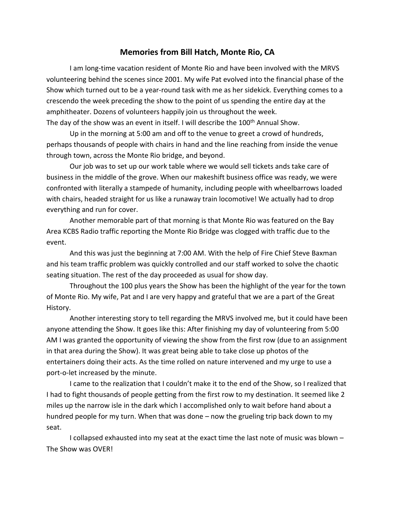## **Memories from Bill Hatch, Monte Rio, CA**

I am long-time vacation resident of Monte Rio and have been involved with the MRVS volunteering behind the scenes since 2001. My wife Pat evolved into the financial phase of the Show which turned out to be a year-round task with me as her sidekick. Everything comes to a crescendo the week preceding the show to the point of us spending the entire day at the amphitheater. Dozens of volunteers happily join us throughout the week. The day of the show was an event in itself. I will describe the 100<sup>th</sup> Annual Show.

Up in the morning at 5:00 am and off to the venue to greet a crowd of hundreds, perhaps thousands of people with chairs in hand and the line reaching from inside the venue through town, across the Monte Rio bridge, and beyond.

Our job was to set up our work table where we would sell tickets ands take care of business in the middle of the grove. When our makeshift business office was ready, we were confronted with literally a stampede of humanity, including people with wheelbarrows loaded with chairs, headed straight for us like a runaway train locomotive! We actually had to drop everything and run for cover.

Another memorable part of that morning is that Monte Rio was featured on the Bay Area KCBS Radio traffic reporting the Monte Rio Bridge was clogged with traffic due to the event.

And this was just the beginning at 7:00 AM. With the help of Fire Chief Steve Baxman and his team traffic problem was quickly controlled and our staff worked to solve the chaotic seating situation. The rest of the day proceeded as usual for show day.

Throughout the 100 plus years the Show has been the highlight of the year for the town of Monte Rio. My wife, Pat and I are very happy and grateful that we are a part of the Great History.

Another interesting story to tell regarding the MRVS involved me, but it could have been anyone attending the Show. It goes like this: After finishing my day of volunteering from 5:00 AM I was granted the opportunity of viewing the show from the first row (due to an assignment in that area during the Show). It was great being able to take close up photos of the entertainers doing their acts. As the time rolled on nature intervened and my urge to use a port-o-let increased by the minute.

I came to the realization that I couldn't make it to the end of the Show, so I realized that I had to fight thousands of people getting from the first row to my destination. It seemed like 2 miles up the narrow isle in the dark which I accomplished only to wait before hand about a hundred people for my turn. When that was done – now the grueling trip back down to my seat.

I collapsed exhausted into my seat at the exact time the last note of music was blown – The Show was OVER!